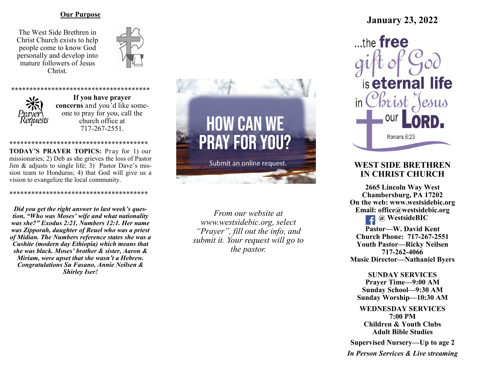#### **Our Purpose**

The West Side Brethren in Christ Church exists to help people come to know God personally and develop into mature followers of Jesus Christ.





**If you have prayer concerns** and you'd like someone to pray for you, call the church office at 717-267-2551.

\*\*\*\*\*\*\*\*\*\*\*\*\*\*\*\*\*\*\*\*\*\*\*\*\*\*\*\*\*\*\*\*\*\*\*\*\*\* **TODAY'S PRAYER TOPICS:** Pray for 1) our missionaries; 2) Deb as she grieves the loss of Pastor Jim & adjusts to single life; 3) Pastor Dave's mission team to Honduras; 4) that God will give us a vision to evangelize the local community.

\*\*\*\*\*\*\*\*\*\*\*\*\*\*\*\*\*\*\*\*\*\*\*\*\*\*\*\*\*\*\*\*\*\*\*\*\*\*

*Did you get the right answer to last week's question, "Who was Moses' wife and what nationality was she?" Exodus 2:21, Numbers 12:1. Her name was Zipporah, daughter of Reuel who was a priest of Midian. The Numbers reference states she was a Cushite (modern day Ethiopia) which means that she was black. Moses' brother & sister, Aaron & Miriam, were upset that she wasn't a Hebrew. Congratulations Su Fasano, Annie Neilsen & Shirley Iser!*



*From our website at www.westsidebic.org, select "Prayer", fill out the info, and submit it. Your request will go to the pastor.*

# **January 23, 2022**

 $...$ the free is eternal life in Christ $\zeta$ OUI Romans 6:23

## **WEST SIDE BRETHREN IN CHRIST CHURCH**

**2665 Lincoln Way West Chambersburg, PA 17202 On the web: [www.westsidebic.org](http://www.westsidebic.org) Email: office@westsidebic.org @ WestsideBIC Pastor—W. David Kent**

**Church Phone: 717-267-2551 Youth Pastor—Ricky Neilsen 717-262-4066 Music Director—Nathaniel Byers**

**SUNDAY SERVICES Prayer Time—9:00 AM Sunday School—9:30 AM Sunday Worship—10:30 AM**

**WEDNESDAY SERVICES 7:00 PM Children & Youth Clubs Adult Bible Studies**

**Supervised Nursery—Up to age 2**

*In Person Services & Live streaming*